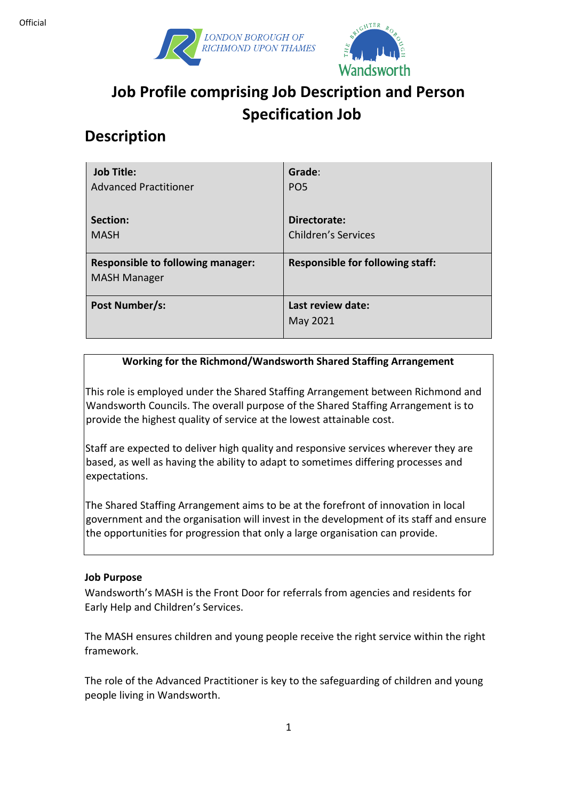



# **Job Profile comprising Job Description and Person Specification Job**

## **Description**

| <b>Job Title:</b>                                               | Grade:                                  |
|-----------------------------------------------------------------|-----------------------------------------|
| <b>Advanced Practitioner</b>                                    | PO <sub>5</sub>                         |
| Section:                                                        | Directorate:                            |
| <b>MASH</b>                                                     | <b>Children's Services</b>              |
| <b>Responsible to following manager:</b><br><b>MASH Manager</b> | <b>Responsible for following staff:</b> |
| Post Number/s:                                                  | Last review date:<br>May 2021           |

#### **Working for the Richmond/Wandsworth Shared Staffing Arrangement**

This role is employed under the Shared Staffing Arrangement between Richmond and Wandsworth Councils. The overall purpose of the Shared Staffing Arrangement is to provide the highest quality of service at the lowest attainable cost.

Staff are expected to deliver high quality and responsive services wherever they are based, as well as having the ability to adapt to sometimes differing processes and expectations.

The Shared Staffing Arrangement aims to be at the forefront of innovation in local government and the organisation will invest in the development of its staff and ensure the opportunities for progression that only a large organisation can provide.

#### **Job Purpose**

Wandsworth's MASH is the Front Door for referrals from agencies and residents for Early Help and Children's Services.

The MASH ensures children and young people receive the right service within the right framework.

The role of the Advanced Practitioner is key to the safeguarding of children and young people living in Wandsworth.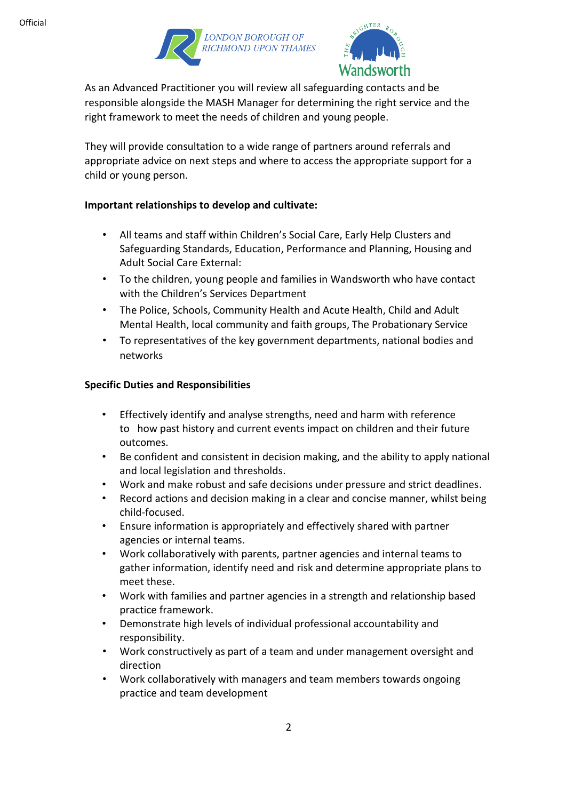



As an Advanced Practitioner you will review all safeguarding contacts and be responsible alongside the MASH Manager for determining the right service and the right framework to meet the needs of children and young people.

They will provide consultation to a wide range of partners around referrals and appropriate advice on next steps and where to access the appropriate support for a child or young person.

#### **Important relationships to develop and cultivate:**

- All teams and staff within Children's Social Care, Early Help Clusters and Safeguarding Standards, Education, Performance and Planning, Housing and Adult Social Care External:
- To the children, young people and families in Wandsworth who have contact with the Children's Services Department
- The Police, Schools, Community Health and Acute Health, Child and Adult Mental Health, local community and faith groups, The Probationary Service
- To representatives of the key government departments, national bodies and networks

#### **Specific Duties and Responsibilities**

- Effectively identify and analyse strengths, need and harm with reference to how past history and current events impact on children and their future outcomes.
- Be confident and consistent in decision making, and the ability to apply national and local legislation and thresholds.
- Work and make robust and safe decisions under pressure and strict deadlines.
- Record actions and decision making in a clear and concise manner, whilst being child-focused.
- Ensure information is appropriately and effectively shared with partner agencies or internal teams.
- Work collaboratively with parents, partner agencies and internal teams to gather information, identify need and risk and determine appropriate plans to meet these.
- Work with families and partner agencies in a strength and relationship based practice framework.
- Demonstrate high levels of individual professional accountability and responsibility.
- Work constructively as part of a team and under management oversight and direction
- Work collaboratively with managers and team members towards ongoing practice and team development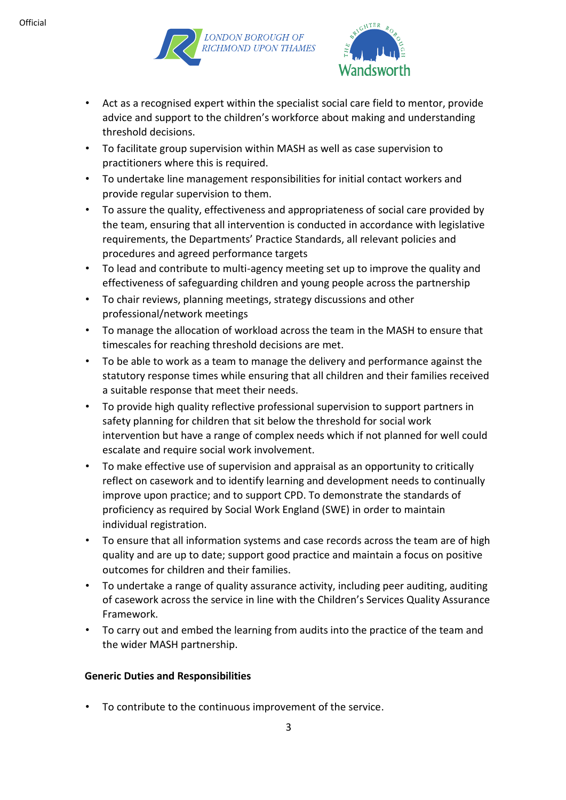



- Act as a recognised expert within the specialist social care field to mentor, provide advice and support to the children's workforce about making and understanding threshold decisions.
- To facilitate group supervision within MASH as well as case supervision to practitioners where this is required.
- To undertake line management responsibilities for initial contact workers and provide regular supervision to them.
- To assure the quality, effectiveness and appropriateness of social care provided by the team, ensuring that all intervention is conducted in accordance with legislative requirements, the Departments' Practice Standards, all relevant policies and procedures and agreed performance targets
- To lead and contribute to multi-agency meeting set up to improve the quality and effectiveness of safeguarding children and young people across the partnership
- To chair reviews, planning meetings, strategy discussions and other professional/network meetings
- To manage the allocation of workload across the team in the MASH to ensure that timescales for reaching threshold decisions are met.
- To be able to work as a team to manage the delivery and performance against the statutory response times while ensuring that all children and their families received a suitable response that meet their needs.
- To provide high quality reflective professional supervision to support partners in safety planning for children that sit below the threshold for social work intervention but have a range of complex needs which if not planned for well could escalate and require social work involvement.
- To make effective use of supervision and appraisal as an opportunity to critically reflect on casework and to identify learning and development needs to continually improve upon practice; and to support CPD. To demonstrate the standards of proficiency as required by Social Work England (SWE) in order to maintain individual registration.
- To ensure that all information systems and case records across the team are of high quality and are up to date; support good practice and maintain a focus on positive outcomes for children and their families.
- To undertake a range of quality assurance activity, including peer auditing, auditing of casework across the service in line with the Children's Services Quality Assurance Framework.
- To carry out and embed the learning from audits into the practice of the team and the wider MASH partnership.

#### **Generic Duties and Responsibilities**

• To contribute to the continuous improvement of the service.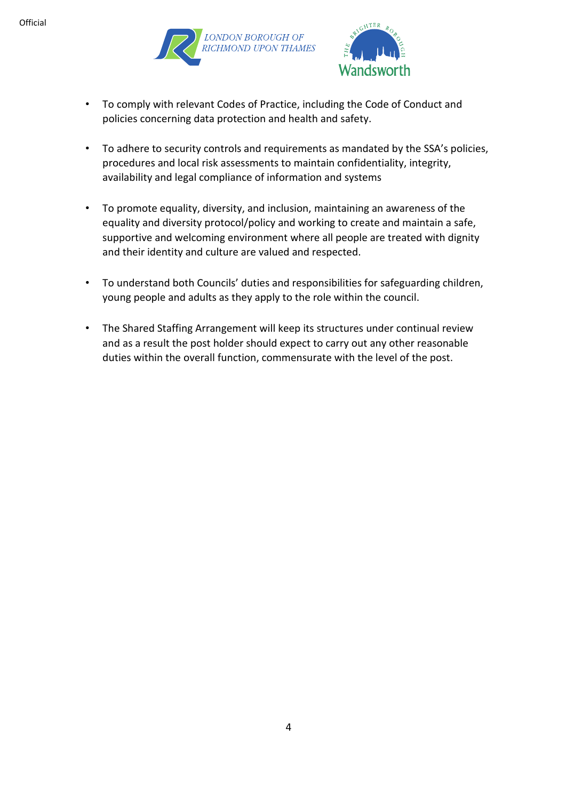



- To comply with relevant Codes of Practice, including the Code of Conduct and policies concerning data protection and health and safety.
- To adhere to security controls and requirements as mandated by the SSA's policies, procedures and local risk assessments to maintain confidentiality, integrity, availability and legal compliance of information and systems
- To promote equality, diversity, and inclusion, maintaining an awareness of the equality and diversity protocol/policy and working to create and maintain a safe, supportive and welcoming environment where all people are treated with dignity and their identity and culture are valued and respected.
- To understand both Councils' duties and responsibilities for safeguarding children, young people and adults as they apply to the role within the council.
- The Shared Staffing Arrangement will keep its structures under continual review and as a result the post holder should expect to carry out any other reasonable duties within the overall function, commensurate with the level of the post.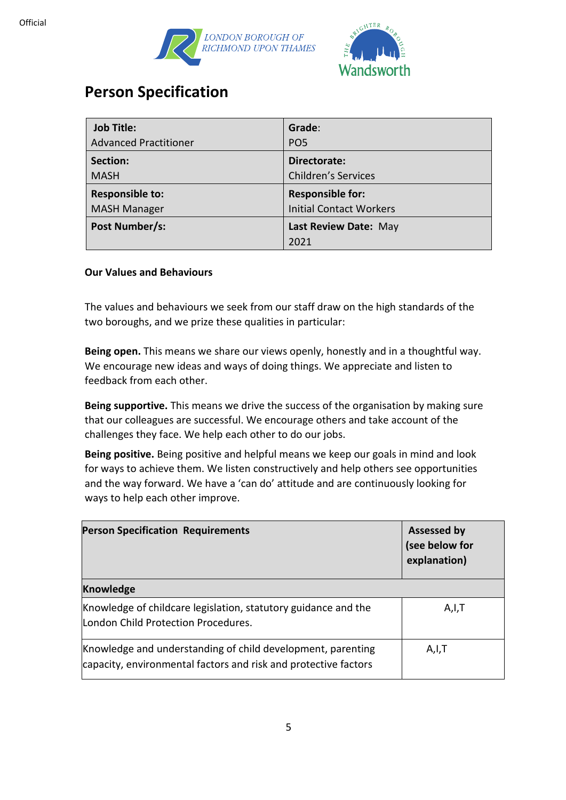



### **Person Specification**

| <b>Job Title:</b>            | Grade:                         |
|------------------------------|--------------------------------|
| <b>Advanced Practitioner</b> | PO <sub>5</sub>                |
| Section:                     | Directorate:                   |
| <b>MASH</b>                  | <b>Children's Services</b>     |
| <b>Responsible to:</b>       | <b>Responsible for:</b>        |
| <b>MASH Manager</b>          | <b>Initial Contact Workers</b> |
| Post Number/s:               | Last Review Date: May          |
|                              | 2021                           |

#### **Our Values and Behaviours**

The values and behaviours we seek from our staff draw on the high standards of the two boroughs, and we prize these qualities in particular:

**Being open.** This means we share our views openly, honestly and in a thoughtful way. We encourage new ideas and ways of doing things. We appreciate and listen to feedback from each other.

**Being supportive.** This means we drive the success of the organisation by making sure that our colleagues are successful. We encourage others and take account of the challenges they face. We help each other to do our jobs.

**Being positive.** Being positive and helpful means we keep our goals in mind and look for ways to achieve them. We listen constructively and help others see opportunities and the way forward. We have a 'can do' attitude and are continuously looking for ways to help each other improve.

| <b>Person Specification Requirements</b>                                                                                       | <b>Assessed by</b><br>(see below for<br>explanation) |
|--------------------------------------------------------------------------------------------------------------------------------|------------------------------------------------------|
| <b>Knowledge</b>                                                                                                               |                                                      |
| Knowledge of childcare legislation, statutory guidance and the<br>London Child Protection Procedures.                          | A,I,T                                                |
| Knowledge and understanding of child development, parenting<br>capacity, environmental factors and risk and protective factors | A,I,T                                                |